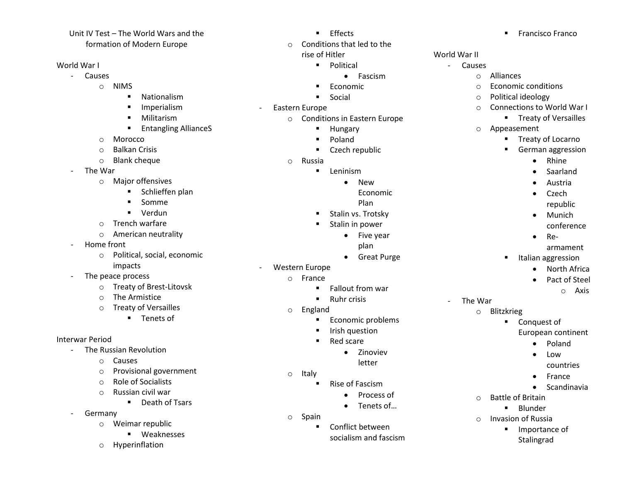#### Unit IV Test – The World Wars and the formation of Modern Europe

## World War I

- Causes
	- o NIMS
		- **Nationalism**
		- **Imperialism**
		- **Militarism**
		- **Entangling AllianceS**
	- o Morocco
	- o Balkan Crisis
	- o Blank cheque
- The War
	- o Major offensives
		- **E** Schlieffen plan
		- **Somme**
		- Verdun
	- o Trench warfare
	- o American neutrality
- Home front
	- o Political, social, economic impacts
- The peace process
	- o Treaty of Brest-Litovsk
	- o The Armistice
	- o Treaty of Versailles
		- **Tenets of**

# Interwar Period

- The Russian Revolution
	- o Causes
	- o Provisional government
	- o Role of Socialists
	- o Russian civil war
		- **•** Death of Tsars
- Germany
	- o Weimar republic
		- **Weaknesses**
	- o Hyperinflation
- **Effects**
- o Conditions that led to the
	- rise of Hitler
		- **•** Political • Fascism
		- Economic
		- **Social**
- Eastern Europe
	- o Conditions in Eastern Europe
		- **Hungary**
		- **Poland**
		- Czech republic
	- o Russia
		- **Leninism** 
			- New
				- Economic
			- Plan
		- Stalin vs. Trotsky
		- Stalin in power
			- Five year plan
			- Great Purge
- Western Europe
	- o France
		- **Fallout from war**
		- **Ruhr crisis**
	- o England
		- **Economic problems**
		- **I** Irish question
		- Red scare
			- Zinoviev
			- letter
	- o Italy
		- Rise of Fascism
			- Process of
			- Tenets of...
	- o Spain
		- **E** Conflict between socialism and fascism
- **Francisco Franco**
- World War II
	- Causes
		- o Alliances
		- o Economic conditions
		- o Political ideology
		- o Connections to World War I
			- **Treaty of Versailles**
		- o Appeasement
			- **Treaty of Locarno**
			- German aggression
				- Rhine
				- Saarland
				- Austria
					- Czech
						- republic
				- Munich conference
				- $\bullet$  Re
					- armament
			- **Italian aggression** 
				- North Africa
				- Pact of Steel
					- o Axis

- The War
	- o Blitzkrieg

o Battle of Britain

 $\blacksquare$  Blunder o Invasion of Russia

> **Importance of** Stalingrad

- **Conquest of** 
	- European continent
		- Poland • Low

• France • Scandinavia

countries